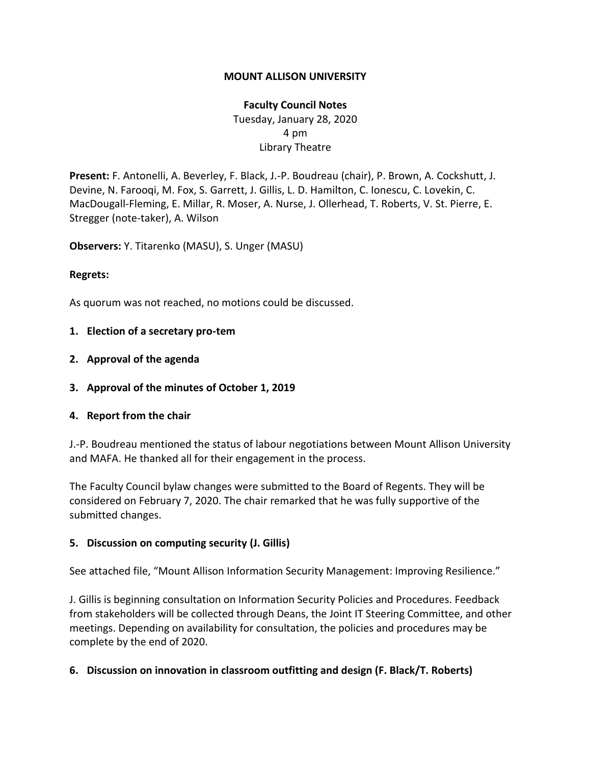### **MOUNT ALLISON UNIVERSITY**

# **Faculty Council Notes** Tuesday, January 28, 2020 4 pm Library Theatre

**Present:** F. Antonelli, A. Beverley, F. Black, J.-P. Boudreau (chair), P. Brown, A. Cockshutt, J. Devine, N. Farooqi, M. Fox, S. Garrett, J. Gillis, L. D. Hamilton, C. Ionescu, C. Lovekin, C. MacDougall-Fleming, E. Millar, R. Moser, A. Nurse, J. Ollerhead, T. Roberts, V. St. Pierre, E. Stregger (note-taker), A. Wilson

**Observers:** Y. Titarenko (MASU), S. Unger (MASU)

#### **Regrets:**

As quorum was not reached, no motions could be discussed.

#### **1. Election of a secretary pro-tem**

- **2. Approval of the agenda**
- **3. Approval of the minutes of October 1, 2019**

#### **4. Report from the chair**

J.-P. Boudreau mentioned the status of labour negotiations between Mount Allison University and MAFA. He thanked all for their engagement in the process.

The Faculty Council bylaw changes were submitted to the Board of Regents. They will be considered on February 7, 2020. The chair remarked that he was fully supportive of the submitted changes.

#### **5. Discussion on computing security (J. Gillis)**

See attached file, "Mount Allison Information Security Management: Improving Resilience."

J. Gillis is beginning consultation on Information Security Policies and Procedures. Feedback from stakeholders will be collected through Deans, the Joint IT Steering Committee, and other meetings. Depending on availability for consultation, the policies and procedures may be complete by the end of 2020.

## **6. Discussion on innovation in classroom outfitting and design (F. Black/T. Roberts)**